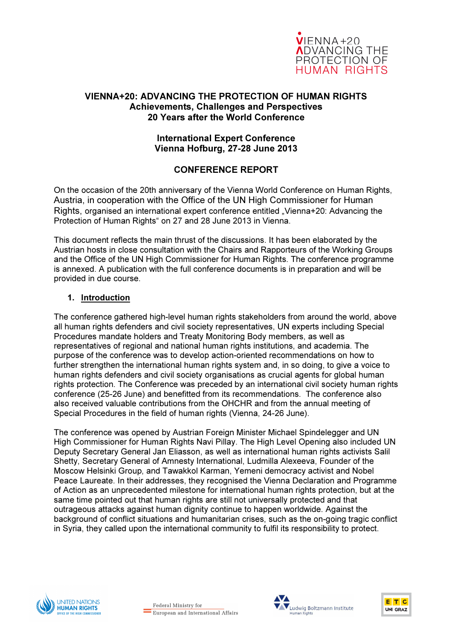

### VIENNA+20: ADVANCING THE PROTECTION OF HUMAN RIGHTS Achievements, Challenges and Perspectives 20 Years after the World Conference

#### International Expert Conference Vienna Hofburg, 27-28 June 2013

# CONFERENCE REPORT

On the occasion of the 20th anniversary of the Vienna World Conference on Human Rights, Austria, in cooperation with the Office of the UN High Commissioner for Human Rights, organised an international expert conference entitled "Vienna+20: Advancing the Protection of Human Rights" on 27 and 28 June 2013 in Vienna.

This document reflects the main thrust of the discussions. It has been elaborated by the Austrian hosts in close consultation with the Chairs and Rapporteurs of the Working Groups and the Office of the UN High Commissioner for Human Rights. The conference programme is annexed. A publication with the full conference documents is in preparation and will be provided in due course.

#### 1. Introduction

The conference gathered high-level human rights stakeholders from around the world, above all human rights defenders and civil society representatives, UN experts including Special Procedures mandate holders and Treaty Monitoring Body members, as well as representatives of regional and national human rights institutions, and academia. The purpose of the conference was to develop action-oriented recommendations on how to further strengthen the international human rights system and, in so doing, to give a voice to human rights defenders and civil society organisations as crucial agents for global human rights protection. The Conference was preceded by an international civil society human rights conference (25-26 June) and benefitted from its recommendations. The conference also also received valuable contributions from the OHCHR and from the annual meeting of Special Procedures in the field of human rights (Vienna, 24-26 June).

The conference was opened by Austrian Foreign Minister Michael Spindelegger and UN High Commissioner for Human Rights Navi Pillay. The High Level Opening also included UN Deputy Secretary General Jan Eliasson, as well as international human rights activists Salil Shetty, Secretary General of Amnesty International, Ludmilla Alexeeva, Founder of the Moscow Helsinki Group, and Tawakkol Karman, Yemeni democracy activist and Nobel Peace Laureate. In their addresses, they recognised the Vienna Declaration and Programme of Action as an unprecedented milestone for international human rights protection, but at the same time pointed out that human rights are still not universally protected and that outrageous attacks against human dignity continue to happen worldwide. Against the background of conflict situations and humanitarian crises, such as the on-going tragic conflict in Syria, they called upon the international community to fulfil its responsibility to protect.





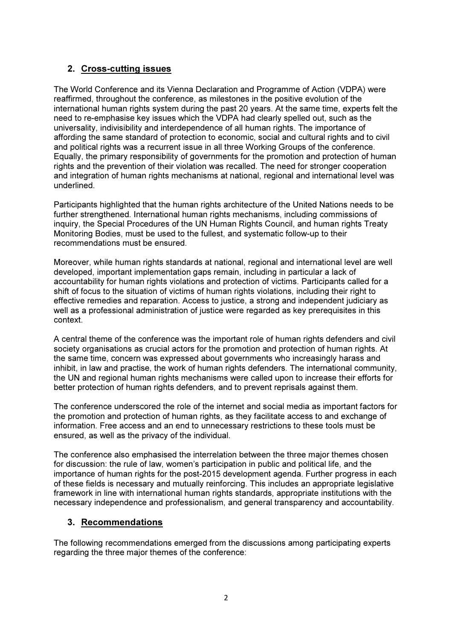# 2. Cross-cutting issues

The World Conference and its Vienna Declaration and Programme of Action (VDPA) were reaffirmed, throughout the conference, as milestones in the positive evolution of the international human rights system during the past 20 years. At the same time, experts felt the need to re-emphasise key issues which the VDPA had clearly spelled out, such as the universality, indivisibility and interdependence of all human rights. The importance of affording the same standard of protection to economic, social and cultural rights and to civil and political rights was a recurrent issue in all three Working Groups of the conference. Equally, the primary responsibility of governments for the promotion and protection of human rights and the prevention of their violation was recalled. The need for stronger cooperation and integration of human rights mechanisms at national, regional and international level was underlined.

Participants highlighted that the human rights architecture of the United Nations needs to be further strengthened. International human rights mechanisms, including commissions of inquiry, the Special Procedures of the UN Human Rights Council, and human rights Treaty Monitoring Bodies, must be used to the fullest, and systematic follow-up to their recommendations must be ensured.

Moreover, while human rights standards at national, regional and international level are well developed, important implementation gaps remain, including in particular a lack of accountability for human rights violations and protection of victims. Participants called for a shift of focus to the situation of victims of human rights violations, including their right to effective remedies and reparation. Access to justice, a strong and independent judiciary as well as a professional administration of justice were regarded as key prerequisites in this context.

A central theme of the conference was the important role of human rights defenders and civil society organisations as crucial actors for the promotion and protection of human rights. At the same time, concern was expressed about governments who increasingly harass and inhibit, in law and practise, the work of human rights defenders. The international community, the UN and regional human rights mechanisms were called upon to increase their efforts for better protection of human rights defenders, and to prevent reprisals against them.

The conference underscored the role of the internet and social media as important factors for the promotion and protection of human rights, as they facilitate access to and exchange of information. Free access and an end to unnecessary restrictions to these tools must be ensured, as well as the privacy of the individual.

The conference also emphasised the interrelation between the three major themes chosen for discussion: the rule of law, women's participation in public and political life, and the importance of human rights for the post-2015 development agenda. Further progress in each of these fields is necessary and mutually reinforcing. This includes an appropriate legislative framework in line with international human rights standards, appropriate institutions with the necessary independence and professionalism, and general transparency and accountability.

# 3. Recommendations

The following recommendations emerged from the discussions among participating experts regarding the three major themes of the conference: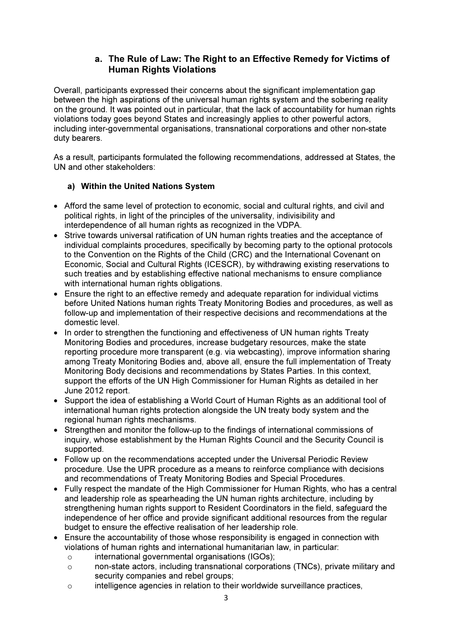# a. The Rule of Law: The Right to an Effective Remedy for Victims of Human Rights Violations

Overall, participants expressed their concerns about the significant implementation gap between the high aspirations of the universal human rights system and the sobering reality on the ground. It was pointed out in particular, that the lack of accountability for human rights violations today goes beyond States and increasingly applies to other powerful actors, including inter-governmental organisations, transnational corporations and other non-state duty bearers.

As a result, participants formulated the following recommendations, addressed at States, the UN and other stakeholders:

### a) Within the United Nations System

- Afford the same level of protection to economic, social and cultural rights, and civil and political rights, in light of the principles of the universality, indivisibility and interdependence of all human rights as recognized in the VDPA.
- Strive towards universal ratification of UN human rights treaties and the acceptance of individual complaints procedures, specifically by becoming party to the optional protocols to the Convention on the Rights of the Child (CRC) and the International Covenant on Economic, Social and Cultural Rights (ICESCR), by withdrawing existing reservations to such treaties and by establishing effective national mechanisms to ensure compliance with international human rights obligations.
- Ensure the right to an effective remedy and adequate reparation for individual victims before United Nations human rights Treaty Monitoring Bodies and procedures, as well as follow-up and implementation of their respective decisions and recommendations at the domestic level.
- In order to strengthen the functioning and effectiveness of UN human rights Treaty Monitoring Bodies and procedures, increase budgetary resources, make the state reporting procedure more transparent (e.g. via webcasting), improve information sharing among Treaty Monitoring Bodies and, above all, ensure the full implementation of Treaty Monitoring Body decisions and recommendations by States Parties. In this context, support the efforts of the UN High Commissioner for Human Rights as detailed in her June 2012 report.
- Support the idea of establishing a World Court of Human Rights as an additional tool of international human rights protection alongside the UN treaty body system and the regional human rights mechanisms.
- Strengthen and monitor the follow-up to the findings of international commissions of inquiry, whose establishment by the Human Rights Council and the Security Council is supported.
- Follow up on the recommendations accepted under the Universal Periodic Review procedure. Use the UPR procedure as a means to reinforce compliance with decisions and recommendations of Treaty Monitoring Bodies and Special Procedures.
- Fully respect the mandate of the High Commissioner for Human Rights, who has a central and leadership role as spearheading the UN human rights architecture, including by strengthening human rights support to Resident Coordinators in the field, safeguard the independence of her office and provide significant additional resources from the regular budget to ensure the effective realisation of her leadership role.
- Ensure the accountability of those whose responsibility is engaged in connection with violations of human rights and international humanitarian law, in particular:
	- o international governmental organisations (IGOs);
	- o non-state actors, including transnational corporations (TNCs), private military and security companies and rebel groups;
	- o intelligence agencies in relation to their worldwide surveillance practices,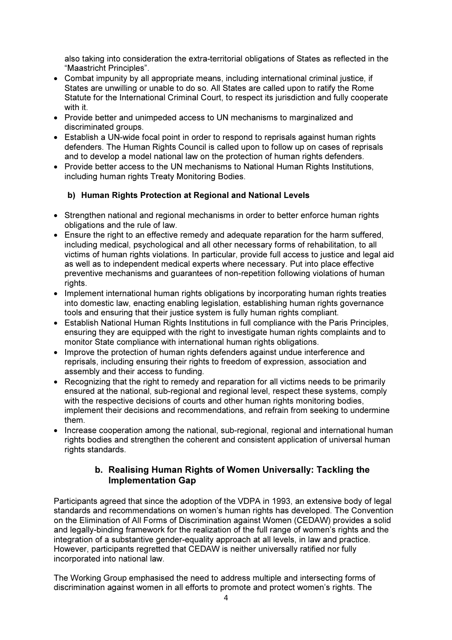also taking into consideration the extra-territorial obligations of States as reflected in the "Maastricht Principles".

- Combat impunity by all appropriate means, including international criminal justice, if States are unwilling or unable to do so. All States are called upon to ratify the Rome Statute for the International Criminal Court, to respect its jurisdiction and fully cooperate with it.
- Provide better and unimpeded access to UN mechanisms to marginalized and discriminated groups.
- Establish a UN-wide focal point in order to respond to reprisals against human rights defenders. The Human Rights Council is called upon to follow up on cases of reprisals and to develop a model national law on the protection of human rights defenders.
- Provide better access to the UN mechanisms to National Human Rights Institutions, including human rights Treaty Monitoring Bodies.

# b) Human Rights Protection at Regional and National Levels

- Strengthen national and regional mechanisms in order to better enforce human rights obligations and the rule of law.
- Ensure the right to an effective remedy and adequate reparation for the harm suffered, including medical, psychological and all other necessary forms of rehabilitation, to all victims of human rights violations. In particular, provide full access to justice and legal aid as well as to independent medical experts where necessary. Put into place effective preventive mechanisms and guarantees of non-repetition following violations of human rights.
- Implement international human rights obligations by incorporating human rights treaties into domestic law, enacting enabling legislation, establishing human rights governance tools and ensuring that their justice system is fully human rights compliant.
- Establish National Human Rights Institutions in full compliance with the Paris Principles, ensuring they are equipped with the right to investigate human rights complaints and to monitor State compliance with international human rights obligations.
- Improve the protection of human rights defenders against undue interference and reprisals, including ensuring their rights to freedom of expression, association and assembly and their access to funding.
- Recognizing that the right to remedy and reparation for all victims needs to be primarily ensured at the national, sub-regional and regional level, respect these systems, comply with the respective decisions of courts and other human rights monitoring bodies, implement their decisions and recommendations, and refrain from seeking to undermine them.
- Increase cooperation among the national, sub-regional, regional and international human rights bodies and strengthen the coherent and consistent application of universal human rights standards.

# b. Realising Human Rights of Women Universally: Tackling the Implementation Gap

Participants agreed that since the adoption of the VDPA in 1993, an extensive body of legal standards and recommendations on women's human rights has developed. The Convention on the Elimination of All Forms of Discrimination against Women (CEDAW) provides a solid and legally-binding framework for the realization of the full range of women's rights and the integration of a substantive gender-equality approach at all levels, in law and practice. However, participants regretted that CEDAW is neither universally ratified nor fully incorporated into national law.

The Working Group emphasised the need to address multiple and intersecting forms of discrimination against women in all efforts to promote and protect women's rights. The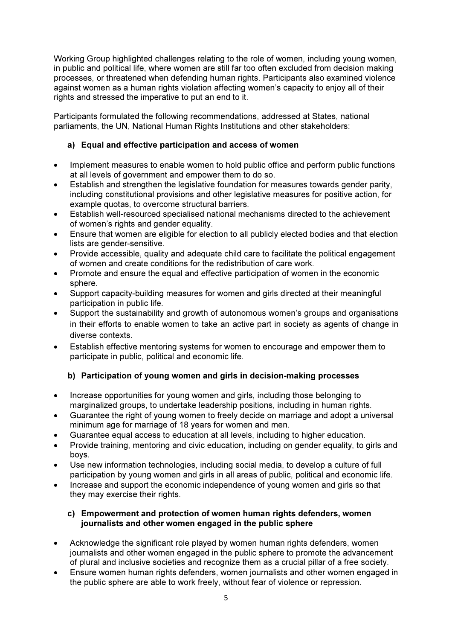Working Group highlighted challenges relating to the role of women, including young women, in public and political life, where women are still far too often excluded from decision making processes, or threatened when defending human rights. Participants also examined violence against women as a human rights violation affecting women's capacity to enjoy all of their rights and stressed the imperative to put an end to it.

Participants formulated the following recommendations, addressed at States, national parliaments, the UN, National Human Rights Institutions and other stakeholders:

# a) Equal and effective participation and access of women

- Implement measures to enable women to hold public office and perform public functions at all levels of government and empower them to do so.
- Establish and strengthen the legislative foundation for measures towards gender parity, including constitutional provisions and other legislative measures for positive action, for example quotas, to overcome structural barriers.
- Establish well-resourced specialised national mechanisms directed to the achievement of women's rights and gender equality.
- Ensure that women are eligible for election to all publicly elected bodies and that election lists are gender-sensitive.
- Provide accessible, quality and adequate child care to facilitate the political engagement of women and create conditions for the redistribution of care work.
- Promote and ensure the equal and effective participation of women in the economic sphere.
- Support capacity-building measures for women and girls directed at their meaningful participation in public life.
- Support the sustainability and growth of autonomous women's groups and organisations in their efforts to enable women to take an active part in society as agents of change in diverse contexts.
- Establish effective mentoring systems for women to encourage and empower them to participate in public, political and economic life.

### b) Participation of young women and girls in decision-making processes

- Increase opportunities for young women and girls, including those belonging to marginalized groups, to undertake leadership positions, including in human rights.
- Guarantee the right of young women to freely decide on marriage and adopt a universal minimum age for marriage of 18 years for women and men.
- Guarantee equal access to education at all levels, including to higher education.
- Provide training, mentoring and civic education, including on gender equality, to girls and boys.
- Use new information technologies, including social media, to develop a culture of full participation by young women and girls in all areas of public, political and economic life.
- Increase and support the economic independence of young women and girls so that they may exercise their rights.

#### c) Empowerment and protection of women human rights defenders, women journalists and other women engaged in the public sphere

- Acknowledge the significant role played by women human rights defenders, women journalists and other women engaged in the public sphere to promote the advancement of plural and inclusive societies and recognize them as a crucial pillar of a free society.
- Ensure women human rights defenders, women journalists and other women engaged in the public sphere are able to work freely, without fear of violence or repression.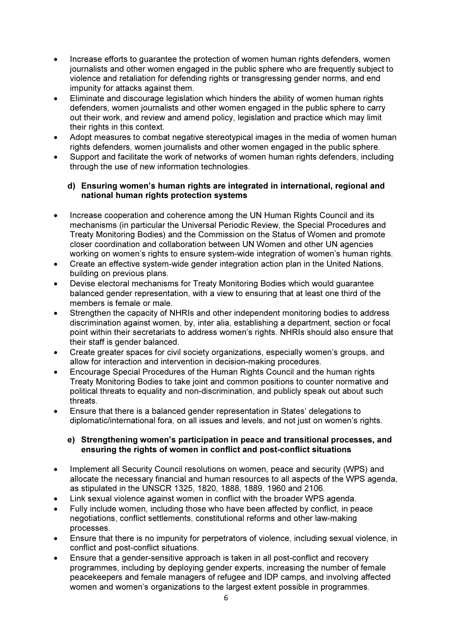- Increase efforts to guarantee the protection of women human rights defenders, women journalists and other women engaged in the public sphere who are frequently subject to violence and retaliation for defending rights or transgressing gender norms, and end impunity for attacks against them.
- Eliminate and discourage legislation which hinders the ability of women human rights defenders, women journalists and other women engaged in the public sphere to carry out their work, and review and amend policy, legislation and practice which may limit their rights in this context.
- Adopt measures to combat negative stereotypical images in the media of women human rights defenders, women journalists and other women engaged in the public sphere.
- Support and facilitate the work of networks of women human rights defenders, including through the use of new information technologies.

#### d) Ensuring women's human rights are integrated in international, regional and national human rights protection systems

- Increase cooperation and coherence among the UN Human Rights Council and its mechanisms (in particular the Universal Periodic Review, the Special Procedures and Treaty Monitoring Bodies) and the Commission on the Status of Women and promote closer coordination and collaboration between UN Women and other UN agencies working on women's rights to ensure system-wide integration of women's human rights.
- Create an effective system-wide gender integration action plan in the United Nations, building on previous plans.
- Devise electoral mechanisms for Treaty Monitoring Bodies which would guarantee balanced gender representation, with a view to ensuring that at least one third of the members is female or male.
- Strengthen the capacity of NHRIs and other independent monitoring bodies to address discrimination against women, by, inter alia, establishing a department, section or focal point within their secretariats to address women's rights. NHRIs should also ensure that their staff is gender balanced.
- Create greater spaces for civil society organizations, especially women's groups, and allow for interaction and intervention in decision-making procedures.
- Encourage Special Procedures of the Human Rights Council and the human rights Treaty Monitoring Bodies to take joint and common positions to counter normative and political threats to equality and non-discrimination, and publicly speak out about such threats.
- Ensure that there is a balanced gender representation in States' delegations to diplomatic/international fora, on all issues and levels, and not just on women's rights.

#### e) Strengthening women's participation in peace and transitional processes, and ensuring the rights of women in conflict and post-conflict situations

- Implement all Security Council resolutions on women, peace and security (WPS) and allocate the necessary financial and human resources to all aspects of the WPS agenda, as stipulated in the UNSCR 1325, 1820, 1888, 1889, 1960 and 2106.
- Link sexual violence against women in conflict with the broader WPS agenda.
- Fully include women, including those who have been affected by conflict, in peace negotiations, conflict settlements, constitutional reforms and other law-making processes.
- Ensure that there is no impunity for perpetrators of violence, including sexual violence, in conflict and post-conflict situations.
- Ensure that a gender-sensitive approach is taken in all post-conflict and recovery programmes, including by deploying gender experts, increasing the number of female peacekeepers and female managers of refugee and IDP camps, and involving affected women and women's organizations to the largest extent possible in programmes.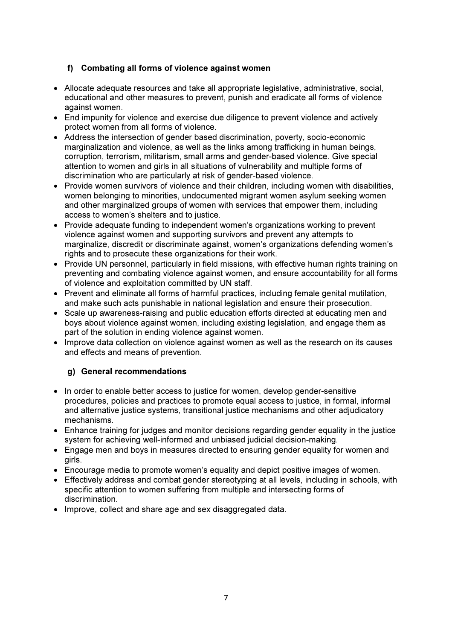# f) Combating all forms of violence against women

- Allocate adequate resources and take all appropriate legislative, administrative, social, educational and other measures to prevent, punish and eradicate all forms of violence against women.
- End impunity for violence and exercise due diligence to prevent violence and actively protect women from all forms of violence.
- Address the intersection of gender based discrimination, poverty, socio-economic marginalization and violence, as well as the links among trafficking in human beings, corruption, terrorism, militarism, small arms and gender-based violence. Give special attention to women and girls in all situations of vulnerability and multiple forms of discrimination who are particularly at risk of gender-based violence.
- Provide women survivors of violence and their children, including women with disabilities, women belonging to minorities, undocumented migrant women asylum seeking women and other marginalized groups of women with services that empower them, including access to women's shelters and to justice.
- Provide adequate funding to independent women's organizations working to prevent violence against women and supporting survivors and prevent any attempts to marginalize, discredit or discriminate against, women's organizations defending women's rights and to prosecute these organizations for their work.
- Provide UN personnel, particularly in field missions, with effective human rights training on preventing and combating violence against women, and ensure accountability for all forms of violence and exploitation committed by UN staff.
- Prevent and eliminate all forms of harmful practices, including female genital mutilation, and make such acts punishable in national legislation and ensure their prosecution.
- Scale up awareness-raising and public education efforts directed at educating men and boys about violence against women, including existing legislation, and engage them as part of the solution in ending violence against women.
- Improve data collection on violence against women as well as the research on its causes and effects and means of prevention.

### g) General recommendations

- In order to enable better access to justice for women, develop gender-sensitive procedures, policies and practices to promote equal access to justice, in formal, informal and alternative justice systems, transitional justice mechanisms and other adjudicatory mechanisms.
- Enhance training for judges and monitor decisions regarding gender equality in the justice system for achieving well-informed and unbiased judicial decision-making.
- Engage men and boys in measures directed to ensuring gender equality for women and girls.
- Encourage media to promote women's equality and depict positive images of women.
- Effectively address and combat gender stereotyping at all levels, including in schools, with specific attention to women suffering from multiple and intersecting forms of discrimination.
- Improve, collect and share age and sex disaggregated data.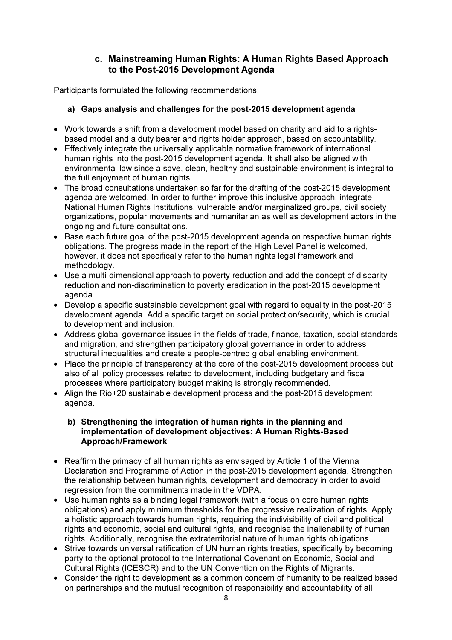# c. Mainstreaming Human Rights: A Human Rights Based Approach to the Post-2015 Development Agenda

Participants formulated the following recommendations:

### a) Gaps analysis and challenges for the post-2015 development agenda

- Work towards a shift from a development model based on charity and aid to a rightsbased model and a duty bearer and rights holder approach, based on accountability.
- Effectively integrate the universally applicable normative framework of international human rights into the post-2015 development agenda. It shall also be aligned with environmental law since a save, clean, healthy and sustainable environment is integral to the full enjoyment of human rights.
- The broad consultations undertaken so far for the drafting of the post-2015 development agenda are welcomed. In order to further improve this inclusive approach, integrate National Human Rights Institutions, vulnerable and/or marginalized groups, civil society organizations, popular movements and humanitarian as well as development actors in the ongoing and future consultations.
- Base each future goal of the post-2015 development agenda on respective human rights obligations. The progress made in the report of the High Level Panel is welcomed, however, it does not specifically refer to the human rights legal framework and methodology.
- Use a multi-dimensional approach to poverty reduction and add the concept of disparity reduction and non-discrimination to poverty eradication in the post-2015 development agenda.
- $\bullet$  Develop a specific sustainable development goal with regard to equality in the post-2015 development agenda. Add a specific target on social protection/security, which is crucial to development and inclusion.
- Address global governance issues in the fields of trade, finance, taxation, social standards and migration, and strengthen participatory global governance in order to address structural inequalities and create a people-centred global enabling environment.
- Place the principle of transparency at the core of the post-2015 development process but also of all policy processes related to development, including budgetary and fiscal processes where participatory budget making is strongly recommended.
- Align the Rio+20 sustainable development process and the post-2015 development agenda.

#### b) Strengthening the integration of human rights in the planning and implementation of development objectives: A Human Rights-Based Approach/Framework

- Reaffirm the primacy of all human rights as envisaged by Article 1 of the Vienna Declaration and Programme of Action in the post-2015 development agenda. Strengthen the relationship between human rights, development and democracy in order to avoid regression from the commitments made in the VDPA.
- Use human rights as a binding legal framework (with a focus on core human rights obligations) and apply minimum thresholds for the progressive realization of rights. Apply a holistic approach towards human rights, requiring the indivisibility of civil and political rights and economic, social and cultural rights, and recognise the inalienability of human rights. Additionally, recognise the extraterritorial nature of human rights obligations.
- Strive towards universal ratification of UN human rights treaties, specifically by becoming party to the optional protocol to the International Covenant on Economic, Social and Cultural Rights (ICESCR) and to the UN Convention on the Rights of Migrants.
- Consider the right to development as a common concern of humanity to be realized based on partnerships and the mutual recognition of responsibility and accountability of all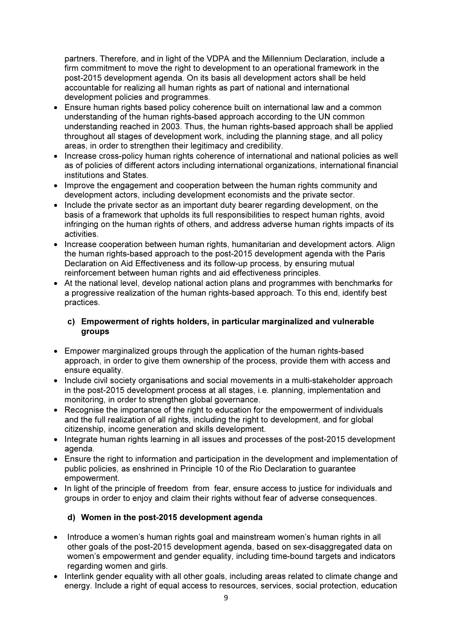partners. Therefore, and in light of the VDPA and the Millennium Declaration, include a firm commitment to move the right to development to an operational framework in the post-2015 development agenda. On its basis all development actors shall be held accountable for realizing all human rights as part of national and international development policies and programmes.

- Ensure human rights based policy coherence built on international law and a common understanding of the human rights-based approach according to the UN common understanding reached in 2003. Thus, the human rights-based approach shall be applied throughout all stages of development work, including the planning stage, and all policy areas, in order to strengthen their legitimacy and credibility.
- Increase cross-policy human rights coherence of international and national policies as well as of policies of different actors including international organizations, international financial institutions and States.
- Improve the engagement and cooperation between the human rights community and development actors, including development economists and the private sector.
- Include the private sector as an important duty bearer regarding development, on the basis of a framework that upholds its full responsibilities to respect human rights, avoid infringing on the human rights of others, and address adverse human rights impacts of its activities.
- Increase cooperation between human rights, humanitarian and development actors. Align the human rights-based approach to the post-2015 development agenda with the Paris Declaration on Aid Effectiveness and its follow-up process, by ensuring mutual reinforcement between human rights and aid effectiveness principles.
- At the national level, develop national action plans and programmes with benchmarks for a progressive realization of the human rights-based approach. To this end, identify best practices.

#### c) Empowerment of rights holders, in particular marginalized and vulnerable groups

- Empower marginalized groups through the application of the human rights-based approach, in order to give them ownership of the process, provide them with access and ensure equality.
- Include civil society organisations and social movements in a multi-stakeholder approach in the post-2015 development process at all stages, i.e. planning, implementation and monitoring, in order to strengthen global governance.
- Recognise the importance of the right to education for the empowerment of individuals and the full realization of all rights, including the right to development, and for global citizenship, income generation and skills development.
- Integrate human rights learning in all issues and processes of the post-2015 development agenda.
- Ensure the right to information and participation in the development and implementation of public policies, as enshrined in Principle 10 of the Rio Declaration to guarantee empowerment.
- In light of the principle of freedom from fear, ensure access to justice for individuals and groups in order to enjoy and claim their rights without fear of adverse consequences.

### d) Women in the post-2015 development agenda

- Introduce a women's human rights goal and mainstream women's human rights in all other goals of the post-2015 development agenda, based on sex-disaggregated data on women's empowerment and gender equality, including time-bound targets and indicators regarding women and girls.
- Interlink gender equality with all other goals, including areas related to climate change and energy. Include a right of equal access to resources, services, social protection, education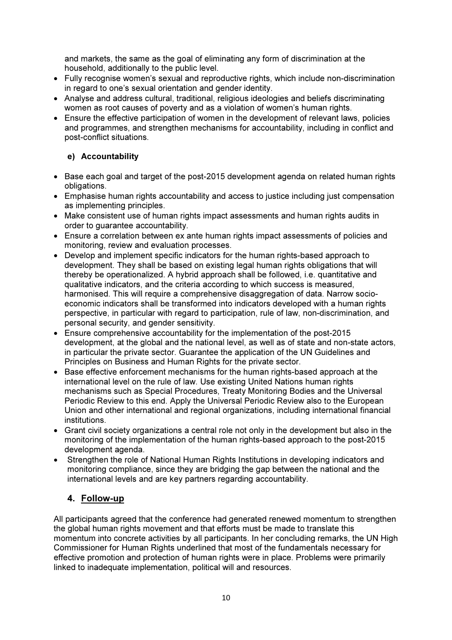and markets, the same as the goal of eliminating any form of discrimination at the household, additionally to the public level.

- Fully recognise women's sexual and reproductive rights, which include non-discrimination in regard to one's sexual orientation and gender identity.
- Analyse and address cultural, traditional, religious ideologies and beliefs discriminating women as root causes of poverty and as a violation of women's human rights.
- Ensure the effective participation of women in the development of relevant laws, policies and programmes, and strengthen mechanisms for accountability, including in conflict and post-conflict situations.

### e) Accountability

- Base each goal and target of the post-2015 development agenda on related human rights obligations.
- Emphasise human rights accountability and access to justice including just compensation as implementing principles.
- Make consistent use of human rights impact assessments and human rights audits in order to guarantee accountability.
- Ensure a correlation between ex ante human rights impact assessments of policies and monitoring, review and evaluation processes.
- Develop and implement specific indicators for the human rights-based approach to development. They shall be based on existing legal human rights obligations that will thereby be operationalized. A hybrid approach shall be followed, i.e. quantitative and qualitative indicators, and the criteria according to which success is measured, harmonised. This will require a comprehensive disaggregation of data. Narrow socioeconomic indicators shall be transformed into indicators developed with a human rights perspective, in particular with regard to participation, rule of law, non-discrimination, and personal security, and gender sensitivity.
- Ensure comprehensive accountability for the implementation of the post-2015 development, at the global and the national level, as well as of state and non-state actors, in particular the private sector. Guarantee the application of the UN Guidelines and Principles on Business and Human Rights for the private sector.
- Base effective enforcement mechanisms for the human rights-based approach at the international level on the rule of law. Use existing United Nations human rights mechanisms such as Special Procedures, Treaty Monitoring Bodies and the Universal Periodic Review to this end. Apply the Universal Periodic Review also to the European Union and other international and regional organizations, including international financial institutions.
- Grant civil society organizations a central role not only in the development but also in the monitoring of the implementation of the human rights-based approach to the post-2015 development agenda.
- Strengthen the role of National Human Rights Institutions in developing indicators and monitoring compliance, since they are bridging the gap between the national and the international levels and are key partners regarding accountability.

# 4. Follow-up

All participants agreed that the conference had generated renewed momentum to strengthen the global human rights movement and that efforts must be made to translate this momentum into concrete activities by all participants. In her concluding remarks, the UN High Commissioner for Human Rights underlined that most of the fundamentals necessary for effective promotion and protection of human rights were in place. Problems were primarily linked to inadequate implementation, political will and resources.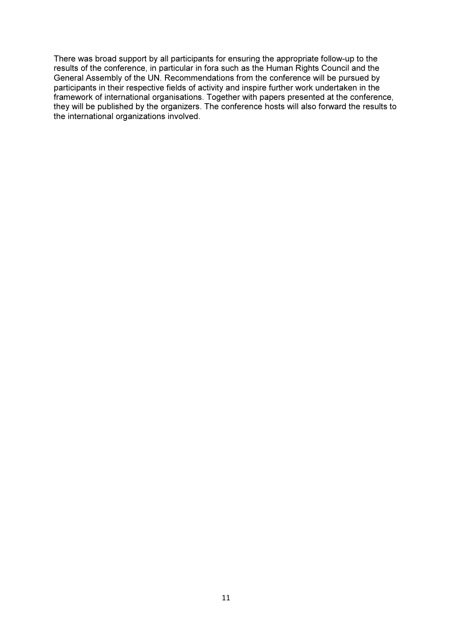There was broad support by all participants for ensuring the appropriate follow-up to the results of the conference, in particular in fora such as the Human Rights Council and the General Assembly of the UN. Recommendations from the conference will be pursued by participants in their respective fields of activity and inspire further work undertaken in the framework of international organisations. Together with papers presented at the conference, they will be published by the organizers. The conference hosts will also forward the results to the international organizations involved.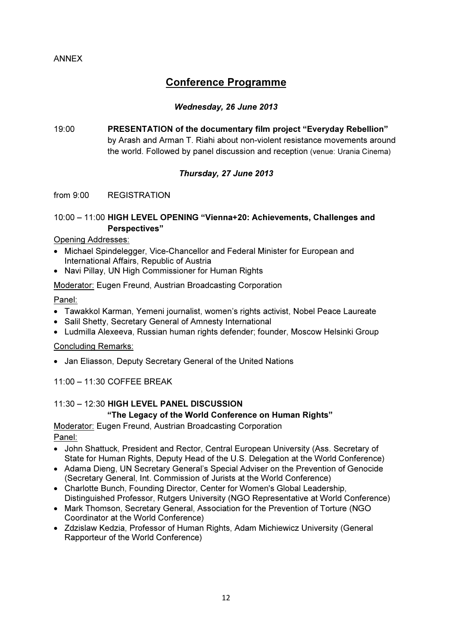# Conference Programme

#### Wednesday, 26 June 2013

19:00 PRESENTATION of the documentary film project "Everyday Rebellion" by Arash and Arman T. Riahi about non-violent resistance movements around the world. Followed by panel discussion and reception (venue: Urania Cinema)

#### Thursday, 27 June 2013

#### from 9:00 REGISTRATION

#### 10:00 – 11:00 HIGH LEVEL OPENING "Vienna+20: Achievements, Challenges and Perspectives"

#### Opening Addresses:

- Michael Spindelegger, Vice-Chancellor and Federal Minister for European and International Affairs, Republic of Austria
- Navi Pillay, UN High Commissioner for Human Rights

#### Moderator: Eugen Freund, Austrian Broadcasting Corporation

#### Panel:

- Tawakkol Karman, Yemeni journalist, women's rights activist, Nobel Peace Laureate
- Salil Shetty, Secretary General of Amnesty International
- Ludmilla Alexeeva, Russian human rights defender; founder, Moscow Helsinki Group

#### Concluding Remarks:

• Jan Eliasson, Deputy Secretary General of the United Nations

### 11:00 – 11:30 COFFEE BREAK

### 11:30 – 12:30 HIGH LEVEL PANEL DISCUSSION

### "The Legacy of the World Conference on Human Rights"

Moderator: Eugen Freund, Austrian Broadcasting Corporation Panel:

- John Shattuck, President and Rector, Central European University (Ass. Secretary of State for Human Rights, Deputy Head of the U.S. Delegation at the World Conference)
- Adama Dieng, UN Secretary General's Special Adviser on the Prevention of Genocide (Secretary General, Int. Commission of Jurists at the World Conference)
- Charlotte Bunch, Founding Director, Center for Women's Global Leadership, Distinguished Professor, Rutgers University (NGO Representative at World Conference)
- Mark Thomson, Secretary General, Association for the Prevention of Torture (NGO Coordinator at the World Conference)
- Zdzislaw Kedzia, Professor of Human Rights, Adam Michiewicz University (General Rapporteur of the World Conference)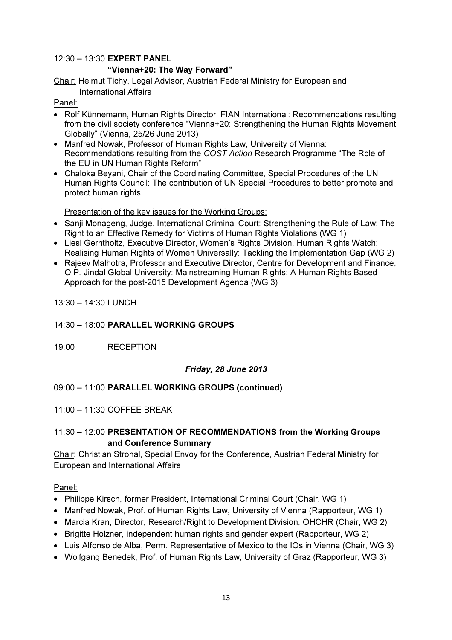# 12:30 – 13:30 EXPERT PANEL "Vienna+20: The Way Forward"

Chair: Helmut Tichy, Legal Advisor, Austrian Federal Ministry for European and International Affairs

Panel:

- Rolf Künnemann, Human Rights Director, FIAN International: Recommendations resulting from the civil society conference "Vienna+20: Strengthening the Human Rights Movement Globally" (Vienna, 25/26 June 2013)
- Manfred Nowak, Professor of Human Rights Law, University of Vienna: Recommendations resulting from the COST Action Research Programme "The Role of the EU in UN Human Rights Reform"
- Chaloka Beyani, Chair of the Coordinating Committee, Special Procedures of the UN Human Rights Council: The contribution of UN Special Procedures to better promote and protect human rights

Presentation of the key issues for the Working Groups:

- Sanji Monageng, Judge, International Criminal Court: Strengthening the Rule of Law: The Right to an Effective Remedy for Victims of Human Rights Violations (WG 1)
- Liesl Gerntholtz, Executive Director, Women's Rights Division, Human Rights Watch: Realising Human Rights of Women Universally: Tackling the Implementation Gap (WG 2)
- Rajeev Malhotra, Professor and Executive Director, Centre for Development and Finance, O.P. Jindal Global University: Mainstreaming Human Rights: A Human Rights Based Approach for the post-2015 Development Agenda (WG 3)

13:30 – 14:30 LUNCH

# 14:30 – 18:00 PARALLEL WORKING GROUPS

19:00 RECEPTION

# Friday, 28 June 2013

# 09:00 – 11:00 PARALLEL WORKING GROUPS (continued)

### 11:00 – 11:30 COFFEE BREAK

# 11:30 – 12:00 PRESENTATION OF RECOMMENDATIONS from the Working Groups and Conference Summary

Chair: Christian Strohal, Special Envoy for the Conference, Austrian Federal Ministry for European and International Affairs

### Panel:

- Philippe Kirsch, former President, International Criminal Court (Chair, WG 1)
- Manfred Nowak, Prof. of Human Rights Law, University of Vienna (Rapporteur, WG 1)
- Marcia Kran, Director, Research/Right to Development Division, OHCHR (Chair, WG 2)
- Brigitte Holzner, independent human rights and gender expert (Rapporteur, WG 2)
- Luis Alfonso de Alba, Perm. Representative of Mexico to the IOs in Vienna (Chair, WG 3)
- Wolfgang Benedek, Prof. of Human Rights Law, University of Graz (Rapporteur, WG 3)